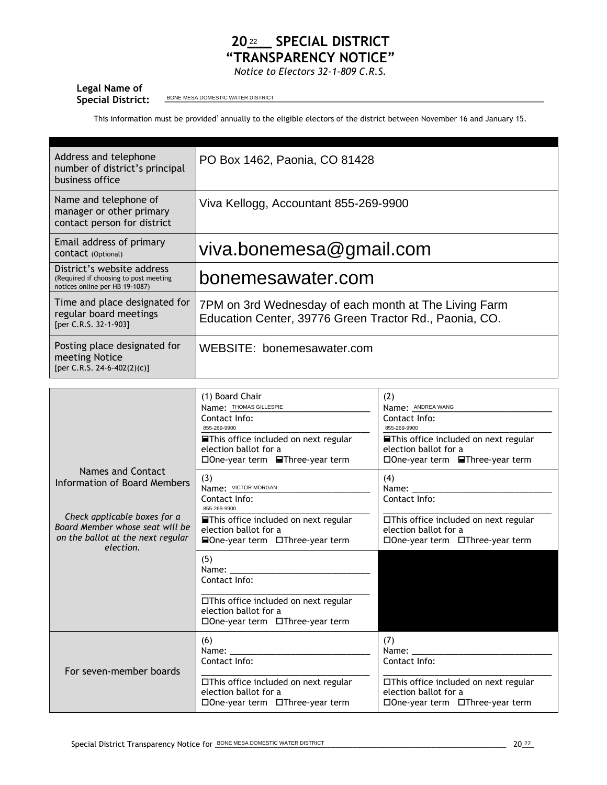## 20<sup>22</sup> SPECIAL DISTRICT **"TRANSPARENCY NOTICE"**

*Notice to Electors 32-1-809 C.R.S.*

## **Legal Name of**

Special District: <u>BONE MESA DOMESTIC WATER DISTRICT</u>

This information must be provided<sup>1</sup> annually to the eligible electors of the district between November 16 and January 15.

| Address and telephone<br>number of district's principal<br>business office                            | PO Box 1462, Paonia, CO 81428                                                                                   |
|-------------------------------------------------------------------------------------------------------|-----------------------------------------------------------------------------------------------------------------|
| Name and telephone of<br>manager or other primary<br>contact person for district                      | Viva Kellogg, Accountant 855-269-9900                                                                           |
| Email address of primary<br>CONTACT (Optional)                                                        | viva.bonemesa@gmail.com                                                                                         |
| District's website address<br>(Required if choosing to post meeting<br>notices online per HB 19-1087) | bonemesawater.com                                                                                               |
| Time and place designated for<br>regular board meetings<br>[per C.R.S. 32-1-903]                      | 7PM on 3rd Wednesday of each month at The Living Farm<br>Education Center, 39776 Green Tractor Rd., Paonia, CO. |
| Posting place designated for<br>meeting Notice<br>[per C.R.S. 24-6-402(2)(c)]                         | WEBSITE: bonemesawater.com                                                                                      |

|                                                                                                                   | (1) Board Chair<br>Name: THOMAS GILLESPIE<br>Contact Info:<br>855-269-9900<br><b>■This office included on next regular</b><br>election ballot for a<br>□One-year term <b>■Three-year term</b>                                                         | (2)<br>Name: ANDREA WANG<br>Contact Info:<br>855-269-9900<br><b>■This office included on next regular</b><br>election ballot for a<br>□ One-year term <b>■ Three-year term</b> |
|-------------------------------------------------------------------------------------------------------------------|-------------------------------------------------------------------------------------------------------------------------------------------------------------------------------------------------------------------------------------------------------|--------------------------------------------------------------------------------------------------------------------------------------------------------------------------------|
| Names and Contact<br>Information of Board Members                                                                 | (3)<br>Name: VICTOR MORGAN<br>Contact Info:<br>855-269-9900                                                                                                                                                                                           | (4)<br>Name:<br>Contact Info:                                                                                                                                                  |
| Check applicable boxes for a<br>Board Member whose seat will be<br>on the ballot at the next regular<br>election. | <b>■This office included on next regular</b><br>election ballot for a<br><b>■One-year term</b> □Three-year term                                                                                                                                       | □This office included on next regular<br>election ballot for a<br>□One-year term □Three-year term                                                                              |
|                                                                                                                   | (5)<br>Name: and the state of the state of the state of the state of the state of the state of the state of the state of the state of the state of the state of the state of the state of the state of the state of the state of the<br>Contact Info: |                                                                                                                                                                                |
|                                                                                                                   | □This office included on next regular<br>election ballot for a<br>□ One-year term □ Three-year term                                                                                                                                                   |                                                                                                                                                                                |
| For seven-member boards                                                                                           | (6)<br>Name: _______<br>Contact Info:                                                                                                                                                                                                                 | (7)<br>Name:<br>Contact Info:                                                                                                                                                  |
|                                                                                                                   | □This office included on next regular<br>election ballot for a<br>□ One-year term □ Three-year term                                                                                                                                                   | □This office included on next regular<br>election ballot for a<br>□ One-year term □ Three-year term                                                                            |